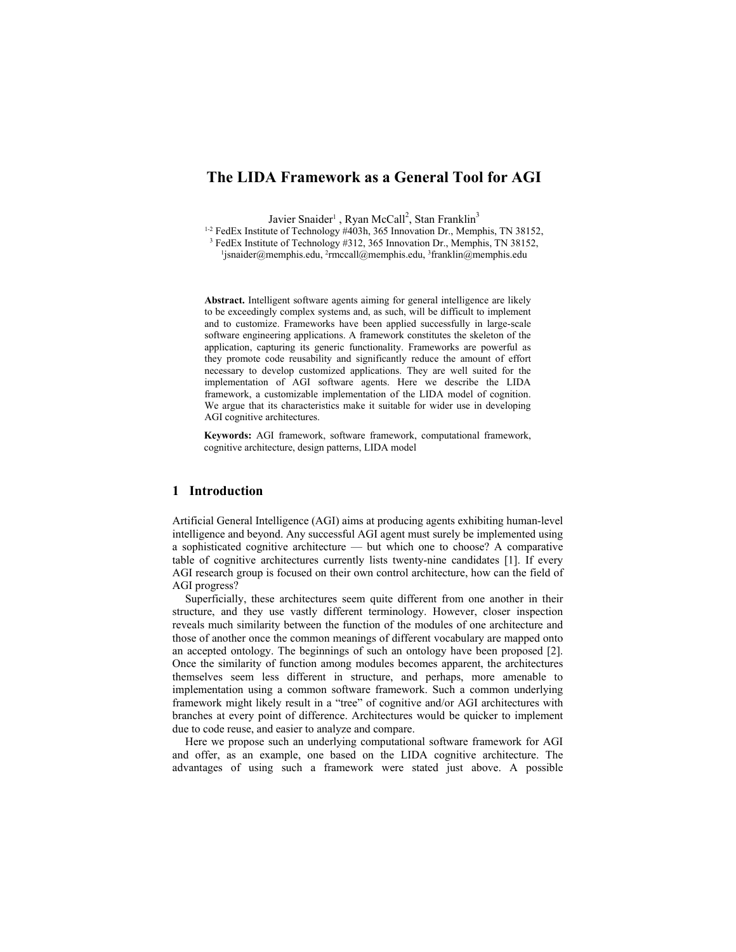# **The LIDA Framework as a General Tool for AGI**

Javier Snaider<sup>1</sup>, Ryan McCall<sup>2</sup>, Stan Franklin<sup>3</sup>

<sup>1-2</sup> FedEx Institute of Technology #403h, 365 Innovation Dr., Memphis, TN 38152,

<sup>3</sup> FedEx Institute of Technology #312, 365 Innovation Dr., Memphis, TN 38152,

<sup>1</sup>jsnaider@memphis.edu, <sup>2</sup>rmccall@memphis.edu, <sup>3</sup>franklin@memphis.edu

**Abstract.** Intelligent software agents aiming for general intelligence are likely to be exceedingly complex systems and, as such, will be difficult to implement and to customize. Frameworks have been applied successfully in large-scale software engineering applications. A framework constitutes the skeleton of the application, capturing its generic functionality. Frameworks are powerful as they promote code reusability and significantly reduce the amount of effort necessary to develop customized applications. They are well suited for the implementation of AGI software agents. Here we describe the LIDA framework, a customizable implementation of the LIDA model of cognition. We argue that its characteristics make it suitable for wider use in developing AGI cognitive architectures.

**Keywords:** AGI framework, software framework, computational framework, cognitive architecture, design patterns, LIDA model

## **1 Introduction**

Artificial General Intelligence (AGI) aims at producing agents exhibiting human-level intelligence and beyond. Any successful AGI agent must surely be implemented using a sophisticated cognitive architecture — but which one to choose? A comparative table of cognitive architectures currently lists twenty-nine candidates [1]. If every AGI research group is focused on their own control architecture, how can the field of AGI progress?

Superficially, these architectures seem quite different from one another in their structure, and they use vastly different terminology. However, closer inspection reveals much similarity between the function of the modules of one architecture and those of another once the common meanings of different vocabulary are mapped onto an accepted ontology. The beginnings of such an ontology have been proposed [2]. Once the similarity of function among modules becomes apparent, the architectures themselves seem less different in structure, and perhaps, more amenable to implementation using a common software framework. Such a common underlying framework might likely result in a "tree" of cognitive and/or AGI architectures with branches at every point of difference. Architectures would be quicker to implement due to code reuse, and easier to analyze and compare.

Here we propose such an underlying computational software framework for AGI and offer, as an example, one based on the LIDA cognitive architecture. The advantages of using such a framework were stated just above. A possible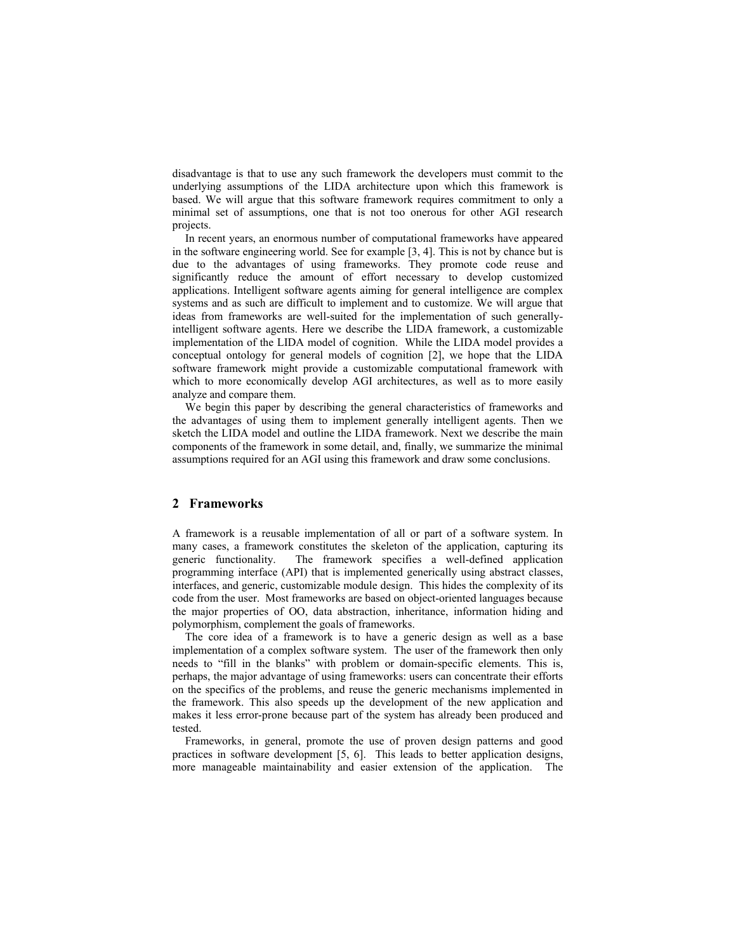disadvantage is that to use any such framework the developers must commit to the underlying assumptions of the LIDA architecture upon which this framework is based. We will argue that this software framework requires commitment to only a minimal set of assumptions, one that is not too onerous for other AGI research projects.

In recent years, an enormous number of computational frameworks have appeared in the software engineering world. See for example [3, 4]. This is not by chance but is due to the advantages of using frameworks. They promote code reuse and significantly reduce the amount of effort necessary to develop customized applications. Intelligent software agents aiming for general intelligence are complex systems and as such are difficult to implement and to customize. We will argue that ideas from frameworks are well-suited for the implementation of such generallyintelligent software agents. Here we describe the LIDA framework, a customizable implementation of the LIDA model of cognition. While the LIDA model provides a conceptual ontology for general models of cognition [2], we hope that the LIDA software framework might provide a customizable computational framework with which to more economically develop AGI architectures, as well as to more easily analyze and compare them.

We begin this paper by describing the general characteristics of frameworks and the advantages of using them to implement generally intelligent agents. Then we sketch the LIDA model and outline the LIDA framework. Next we describe the main components of the framework in some detail, and, finally, we summarize the minimal assumptions required for an AGI using this framework and draw some conclusions.

### **2 Frameworks**

A framework is a reusable implementation of all or part of a software system. In many cases, a framework constitutes the skeleton of the application, capturing its generic functionality. The framework specifies a well-defined application programming interface (API) that is implemented generically using abstract classes, interfaces, and generic, customizable module design. This hides the complexity of its code from the user. Most frameworks are based on object-oriented languages because the major properties of OO, data abstraction, inheritance, information hiding and polymorphism, complement the goals of frameworks.

The core idea of a framework is to have a generic design as well as a base implementation of a complex software system. The user of the framework then only needs to "fill in the blanks" with problem or domain-specific elements. This is, perhaps, the major advantage of using frameworks: users can concentrate their efforts on the specifics of the problems, and reuse the generic mechanisms implemented in the framework. This also speeds up the development of the new application and makes it less error-prone because part of the system has already been produced and tested.

Frameworks, in general, promote the use of proven design patterns and good practices in software development [5, 6]. This leads to better application designs, more manageable maintainability and easier extension of the application. The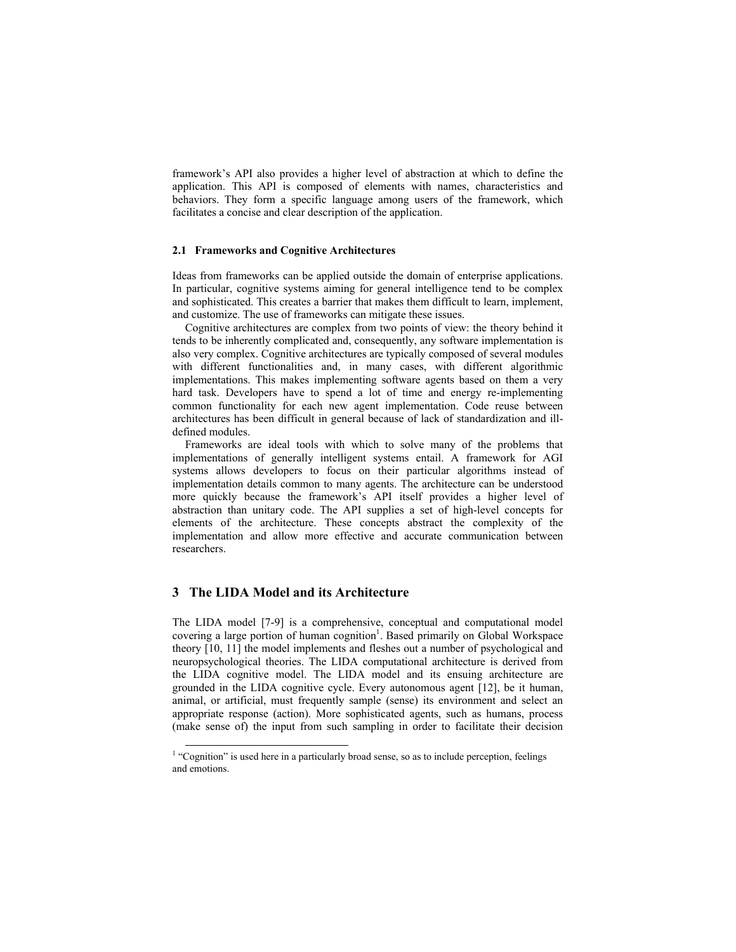framework's API also provides a higher level of abstraction at which to define the application. This API is composed of elements with names, characteristics and behaviors. They form a specific language among users of the framework, which facilitates a concise and clear description of the application.

### **2.1 Frameworks and Cognitive Architectures**

Ideas from frameworks can be applied outside the domain of enterprise applications. In particular, cognitive systems aiming for general intelligence tend to be complex and sophisticated. This creates a barrier that makes them difficult to learn, implement, and customize. The use of frameworks can mitigate these issues.

Cognitive architectures are complex from two points of view: the theory behind it tends to be inherently complicated and, consequently, any software implementation is also very complex. Cognitive architectures are typically composed of several modules with different functionalities and, in many cases, with different algorithmic implementations. This makes implementing software agents based on them a very hard task. Developers have to spend a lot of time and energy re-implementing common functionality for each new agent implementation. Code reuse between architectures has been difficult in general because of lack of standardization and illdefined modules.

Frameworks are ideal tools with which to solve many of the problems that implementations of generally intelligent systems entail. A framework for AGI systems allows developers to focus on their particular algorithms instead of implementation details common to many agents. The architecture can be understood more quickly because the framework's API itself provides a higher level of abstraction than unitary code. The API supplies a set of high-level concepts for elements of the architecture. These concepts abstract the complexity of the implementation and allow more effective and accurate communication between researchers.

### **3 The LIDA Model and its Architecture**

The LIDA model [7-9] is a comprehensive, conceptual and computational model covering a large portion of human cognition<sup>1</sup>. Based primarily on Global Workspace theory [10, 11] the model implements and fleshes out a number of psychological and neuropsychological theories. The LIDA computational architecture is derived from the LIDA cognitive model. The LIDA model and its ensuing architecture are grounded in the LIDA cognitive cycle. Every autonomous agent [12], be it human, animal, or artificial, must frequently sample (sense) its environment and select an appropriate response (action). More sophisticated agents, such as humans, process (make sense of) the input from such sampling in order to facilitate their decision

<sup>&</sup>lt;sup>1</sup> "Cognition" is used here in a particularly broad sense, so as to include perception, feelings and emotions.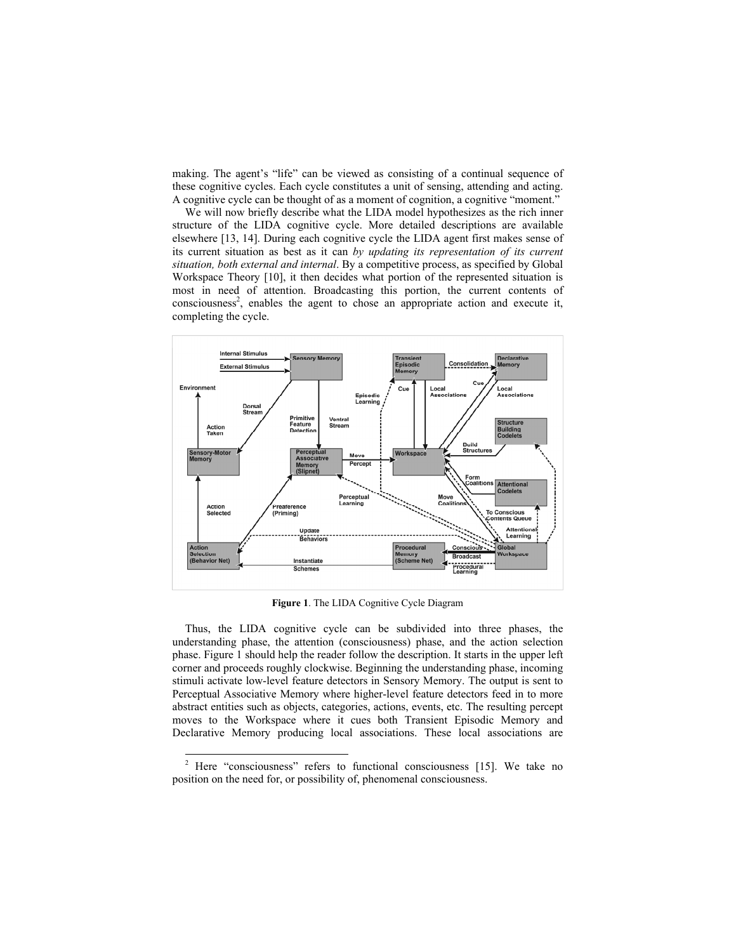making. The agent's "life" can be viewed as consisting of a continual sequence of these cognitive cycles. Each cycle constitutes a unit of sensing, attending and acting. A cognitive cycle can be thought of as a moment of cognition, a cognitive "moment."

We will now briefly describe what the LIDA model hypothesizes as the rich inner structure of the LIDA cognitive cycle. More detailed descriptions are available elsewhere [13, 14]. During each cognitive cycle the LIDA agent first makes sense of its current situation as best as it can *by updating its representation of its current situation, both external and internal*. By a competitive process, as specified by Global Workspace Theory [10], it then decides what portion of the represented situation is most in need of attention. Broadcasting this portion, the current contents of consciousness<sup>2</sup>, enables the agent to chose an appropriate action and execute it, completing the cycle.



**Figure 1**. The LIDA Cognitive Cycle Diagram

Thus, the LIDA cognitive cycle can be subdivided into three phases, the understanding phase, the attention (consciousness) phase, and the action selection phase. Figure 1 should help the reader follow the description. It starts in the upper left corner and proceeds roughly clockwise. Beginning the understanding phase, incoming stimuli activate low-level feature detectors in Sensory Memory. The output is sent to Perceptual Associative Memory where higher-level feature detectors feed in to more abstract entities such as objects, categories, actions, events, etc. The resulting percept moves to the Workspace where it cues both Transient Episodic Memory and Declarative Memory producing local associations. These local associations are

 $\overline{a}$ 

<sup>&</sup>lt;sup>2</sup> Here "consciousness" refers to functional consciousness [15]. We take no position on the need for, or possibility of, phenomenal consciousness.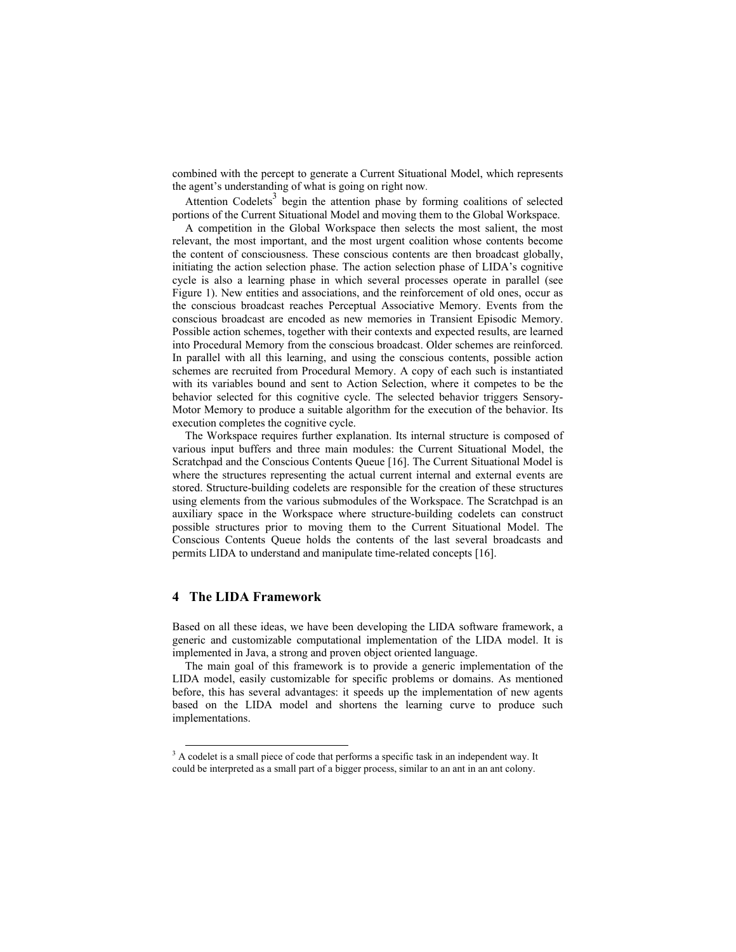combined with the percept to generate a Current Situational Model, which represents the agent's understanding of what is going on right now.

Attention Codelets<sup>3</sup> begin the attention phase by forming coalitions of selected portions of the Current Situational Model and moving them to the Global Workspace.

A competition in the Global Workspace then selects the most salient, the most relevant, the most important, and the most urgent coalition whose contents become the content of consciousness. These conscious contents are then broadcast globally, initiating the action selection phase. The action selection phase of LIDA's cognitive cycle is also a learning phase in which several processes operate in parallel (see Figure 1). New entities and associations, and the reinforcement of old ones, occur as the conscious broadcast reaches Perceptual Associative Memory. Events from the conscious broadcast are encoded as new memories in Transient Episodic Memory. Possible action schemes, together with their contexts and expected results, are learned into Procedural Memory from the conscious broadcast. Older schemes are reinforced. In parallel with all this learning, and using the conscious contents, possible action schemes are recruited from Procedural Memory. A copy of each such is instantiated with its variables bound and sent to Action Selection, where it competes to be the behavior selected for this cognitive cycle. The selected behavior triggers Sensory-Motor Memory to produce a suitable algorithm for the execution of the behavior. Its execution completes the cognitive cycle.

The Workspace requires further explanation. Its internal structure is composed of various input buffers and three main modules: the Current Situational Model, the Scratchpad and the Conscious Contents Queue [16]. The Current Situational Model is where the structures representing the actual current internal and external events are stored. Structure-building codelets are responsible for the creation of these structures using elements from the various submodules of the Workspace. The Scratchpad is an auxiliary space in the Workspace where structure-building codelets can construct possible structures prior to moving them to the Current Situational Model. The Conscious Contents Queue holds the contents of the last several broadcasts and permits LIDA to understand and manipulate time-related concepts [16].

## **4 The LIDA Framework**

Based on all these ideas, we have been developing the LIDA software framework, a generic and customizable computational implementation of the LIDA model. It is implemented in Java, a strong and proven object oriented language.

The main goal of this framework is to provide a generic implementation of the LIDA model, easily customizable for specific problems or domains. As mentioned before, this has several advantages: it speeds up the implementation of new agents based on the LIDA model and shortens the learning curve to produce such implementations.

<sup>&</sup>lt;sup>3</sup> A codelet is a small piece of code that performs a specific task in an independent way. It could be interpreted as a small part of a bigger process, similar to an ant in an ant colony.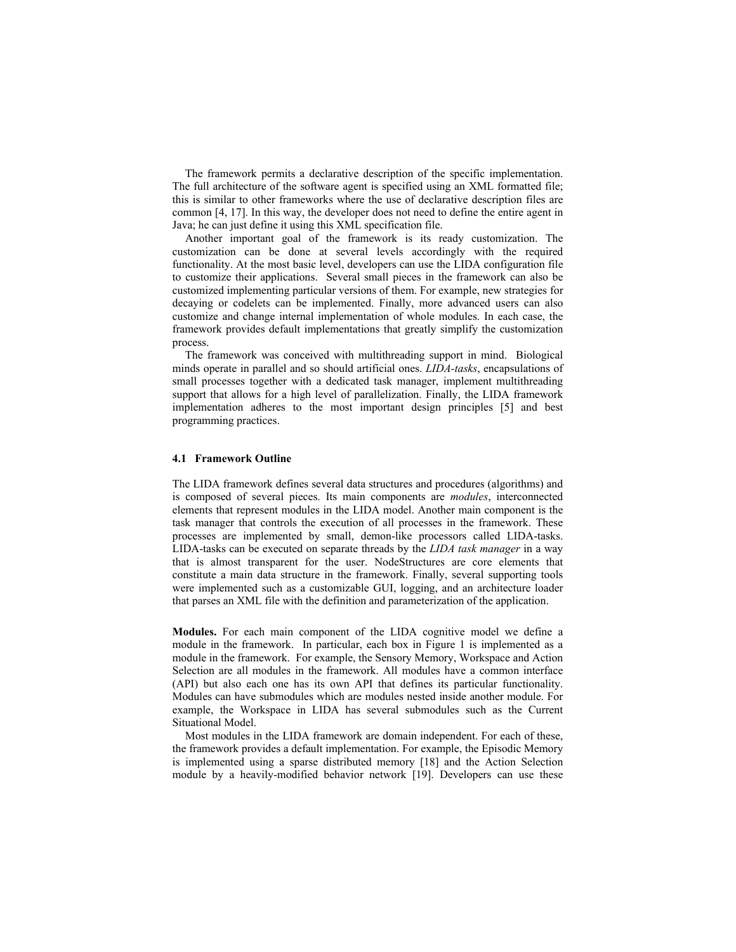The framework permits a declarative description of the specific implementation. The full architecture of the software agent is specified using an XML formatted file; this is similar to other frameworks where the use of declarative description files are common [4, 17]. In this way, the developer does not need to define the entire agent in Java; he can just define it using this XML specification file.

Another important goal of the framework is its ready customization. The customization can be done at several levels accordingly with the required functionality. At the most basic level, developers can use the LIDA configuration file to customize their applications. Several small pieces in the framework can also be customized implementing particular versions of them. For example, new strategies for decaying or codelets can be implemented. Finally, more advanced users can also customize and change internal implementation of whole modules. In each case, the framework provides default implementations that greatly simplify the customization process.

The framework was conceived with multithreading support in mind. Biological minds operate in parallel and so should artificial ones. *LIDA-tasks*, encapsulations of small processes together with a dedicated task manager, implement multithreading support that allows for a high level of parallelization. Finally, the LIDA framework implementation adheres to the most important design principles [5] and best programming practices.

### **4.1 Framework Outline**

The LIDA framework defines several data structures and procedures (algorithms) and is composed of several pieces. Its main components are *modules*, interconnected elements that represent modules in the LIDA model. Another main component is the task manager that controls the execution of all processes in the framework. These processes are implemented by small, demon-like processors called LIDA-tasks. LIDA-tasks can be executed on separate threads by the *LIDA task manager* in a way that is almost transparent for the user. NodeStructures are core elements that constitute a main data structure in the framework. Finally, several supporting tools were implemented such as a customizable GUI, logging, and an architecture loader that parses an XML file with the definition and parameterization of the application.

**Modules.** For each main component of the LIDA cognitive model we define a module in the framework. In particular, each box in Figure 1 is implemented as a module in the framework. For example, the Sensory Memory, Workspace and Action Selection are all modules in the framework. All modules have a common interface (API) but also each one has its own API that defines its particular functionality. Modules can have submodules which are modules nested inside another module. For example, the Workspace in LIDA has several submodules such as the Current Situational Model.

Most modules in the LIDA framework are domain independent. For each of these, the framework provides a default implementation. For example, the Episodic Memory is implemented using a sparse distributed memory [18] and the Action Selection module by a heavily-modified behavior network [19]. Developers can use these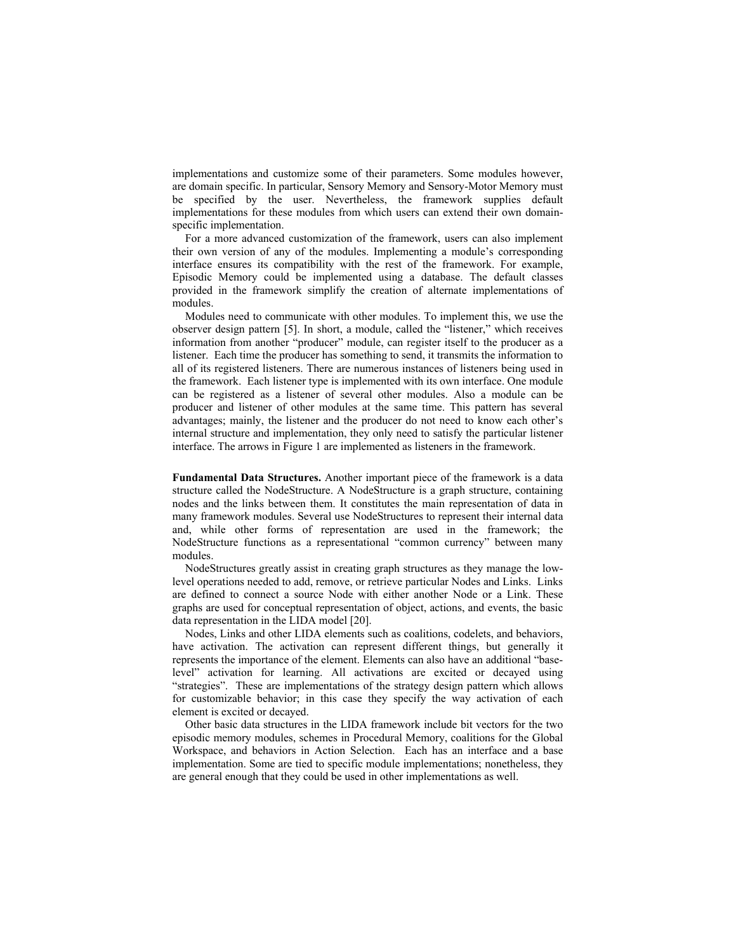implementations and customize some of their parameters. Some modules however, are domain specific. In particular, Sensory Memory and Sensory-Motor Memory must be specified by the user. Nevertheless, the framework supplies default implementations for these modules from which users can extend their own domainspecific implementation.

For a more advanced customization of the framework, users can also implement their own version of any of the modules. Implementing a module's corresponding interface ensures its compatibility with the rest of the framework. For example, Episodic Memory could be implemented using a database. The default classes provided in the framework simplify the creation of alternate implementations of modules.

Modules need to communicate with other modules. To implement this, we use the observer design pattern [5]. In short, a module, called the "listener," which receives information from another "producer" module, can register itself to the producer as a listener. Each time the producer has something to send, it transmits the information to all of its registered listeners. There are numerous instances of listeners being used in the framework. Each listener type is implemented with its own interface. One module can be registered as a listener of several other modules. Also a module can be producer and listener of other modules at the same time. This pattern has several advantages; mainly, the listener and the producer do not need to know each other's internal structure and implementation, they only need to satisfy the particular listener interface. The arrows in Figure 1 are implemented as listeners in the framework.

**Fundamental Data Structures.** Another important piece of the framework is a data structure called the NodeStructure. A NodeStructure is a graph structure, containing nodes and the links between them. It constitutes the main representation of data in many framework modules. Several use NodeStructures to represent their internal data and, while other forms of representation are used in the framework; the NodeStructure functions as a representational "common currency" between many modules.

NodeStructures greatly assist in creating graph structures as they manage the lowlevel operations needed to add, remove, or retrieve particular Nodes and Links. Links are defined to connect a source Node with either another Node or a Link. These graphs are used for conceptual representation of object, actions, and events, the basic data representation in the LIDA model [20].

Nodes, Links and other LIDA elements such as coalitions, codelets, and behaviors, have activation. The activation can represent different things, but generally it represents the importance of the element. Elements can also have an additional "baselevel" activation for learning. All activations are excited or decayed using "strategies". These are implementations of the strategy design pattern which allows for customizable behavior; in this case they specify the way activation of each element is excited or decayed.

Other basic data structures in the LIDA framework include bit vectors for the two episodic memory modules, schemes in Procedural Memory, coalitions for the Global Workspace, and behaviors in Action Selection. Each has an interface and a base implementation. Some are tied to specific module implementations; nonetheless, they are general enough that they could be used in other implementations as well.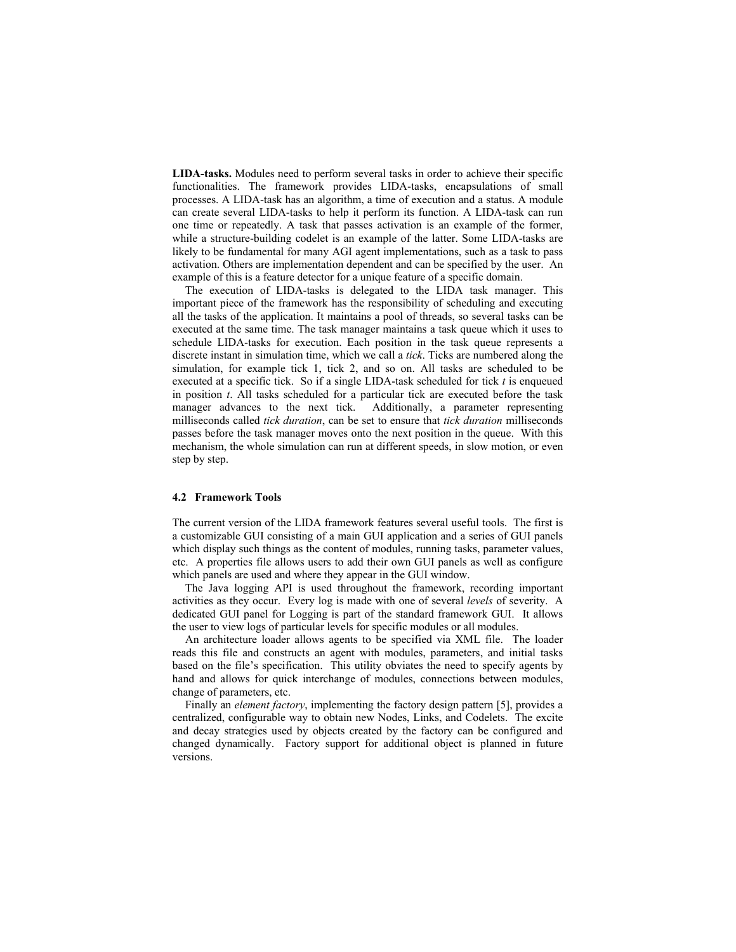**LIDA-tasks.** Modules need to perform several tasks in order to achieve their specific functionalities. The framework provides LIDA-tasks, encapsulations of small processes. A LIDA-task has an algorithm, a time of execution and a status. A module can create several LIDA-tasks to help it perform its function. A LIDA-task can run one time or repeatedly. A task that passes activation is an example of the former, while a structure-building codelet is an example of the latter. Some LIDA-tasks are likely to be fundamental for many AGI agent implementations, such as a task to pass activation. Others are implementation dependent and can be specified by the user. An example of this is a feature detector for a unique feature of a specific domain.

The execution of LIDA-tasks is delegated to the LIDA task manager. This important piece of the framework has the responsibility of scheduling and executing all the tasks of the application. It maintains a pool of threads, so several tasks can be executed at the same time. The task manager maintains a task queue which it uses to schedule LIDA-tasks for execution. Each position in the task queue represents a discrete instant in simulation time, which we call a *tick*. Ticks are numbered along the simulation, for example tick 1, tick 2, and so on. All tasks are scheduled to be executed at a specific tick. So if a single LIDA-task scheduled for tick *t* is enqueued in position *t*. All tasks scheduled for a particular tick are executed before the task manager advances to the next tick. Additionally, a parameter representing milliseconds called *tick duration*, can be set to ensure that *tick duration* milliseconds passes before the task manager moves onto the next position in the queue. With this mechanism, the whole simulation can run at different speeds, in slow motion, or even step by step.

#### **4.2 Framework Tools**

The current version of the LIDA framework features several useful tools. The first is a customizable GUI consisting of a main GUI application and a series of GUI panels which display such things as the content of modules, running tasks, parameter values, etc. A properties file allows users to add their own GUI panels as well as configure which panels are used and where they appear in the GUI window.

The Java logging API is used throughout the framework, recording important activities as they occur. Every log is made with one of several *levels* of severity. A dedicated GUI panel for Logging is part of the standard framework GUI. It allows the user to view logs of particular levels for specific modules or all modules.

An architecture loader allows agents to be specified via XML file. The loader reads this file and constructs an agent with modules, parameters, and initial tasks based on the file's specification. This utility obviates the need to specify agents by hand and allows for quick interchange of modules, connections between modules, change of parameters, etc.

Finally an *element factory*, implementing the factory design pattern [5], provides a centralized, configurable way to obtain new Nodes, Links, and Codelets. The excite and decay strategies used by objects created by the factory can be configured and changed dynamically. Factory support for additional object is planned in future versions.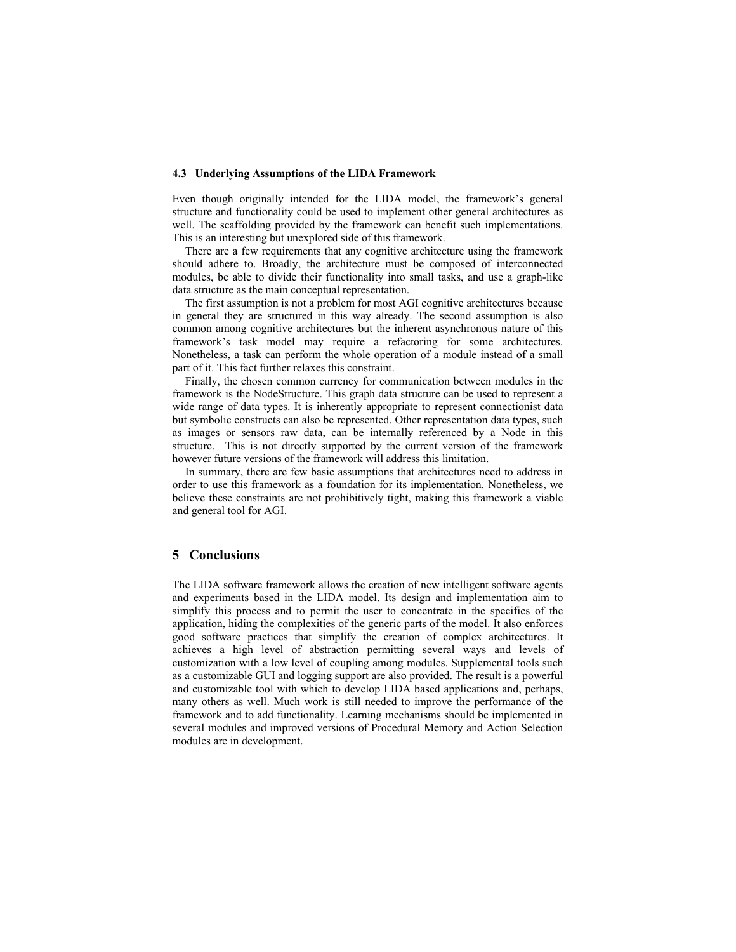### **4.3 Underlying Assumptions of the LIDA Framework**

Even though originally intended for the LIDA model, the framework's general structure and functionality could be used to implement other general architectures as well. The scaffolding provided by the framework can benefit such implementations. This is an interesting but unexplored side of this framework.

There are a few requirements that any cognitive architecture using the framework should adhere to. Broadly, the architecture must be composed of interconnected modules, be able to divide their functionality into small tasks, and use a graph-like data structure as the main conceptual representation.

The first assumption is not a problem for most AGI cognitive architectures because in general they are structured in this way already. The second assumption is also common among cognitive architectures but the inherent asynchronous nature of this framework's task model may require a refactoring for some architectures. Nonetheless, a task can perform the whole operation of a module instead of a small part of it. This fact further relaxes this constraint.

Finally, the chosen common currency for communication between modules in the framework is the NodeStructure. This graph data structure can be used to represent a wide range of data types. It is inherently appropriate to represent connectionist data but symbolic constructs can also be represented. Other representation data types, such as images or sensors raw data, can be internally referenced by a Node in this structure. This is not directly supported by the current version of the framework however future versions of the framework will address this limitation.

In summary, there are few basic assumptions that architectures need to address in order to use this framework as a foundation for its implementation. Nonetheless, we believe these constraints are not prohibitively tight, making this framework a viable and general tool for AGI.

## **5 Conclusions**

The LIDA software framework allows the creation of new intelligent software agents and experiments based in the LIDA model. Its design and implementation aim to simplify this process and to permit the user to concentrate in the specifics of the application, hiding the complexities of the generic parts of the model. It also enforces good software practices that simplify the creation of complex architectures. It achieves a high level of abstraction permitting several ways and levels of customization with a low level of coupling among modules. Supplemental tools such as a customizable GUI and logging support are also provided. The result is a powerful and customizable tool with which to develop LIDA based applications and, perhaps, many others as well. Much work is still needed to improve the performance of the framework and to add functionality. Learning mechanisms should be implemented in several modules and improved versions of Procedural Memory and Action Selection modules are in development.